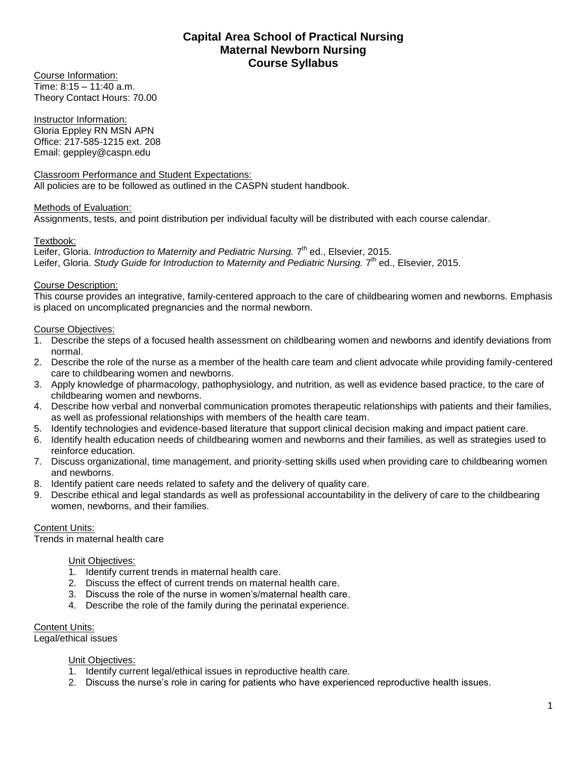# **Capital Area School of Practical Nursing Maternal Newborn Nursing Course Syllabus**

Course Information: Time: 8:15 – 11:40 a.m. Theory Contact Hours: 70.00

Instructor Information: Gloria Eppley RN MSN APN Office: 217-585-1215 ext. 208 Email: geppley@caspn.edu

#### Classroom Performance and Student Expectations: All policies are to be followed as outlined in the CASPN student handbook.

## Methods of Evaluation:

Assignments, tests, and point distribution per individual faculty will be distributed with each course calendar.

## Textbook:

Leifer, Gloria. *Introduction to Maternity and Pediatric Nursing.* 7<sup>th</sup> ed., Elsevier, 2015. Leifer, Gloria. Study Guide for Introduction to Maternity and Pediatric Nursing. 7<sup>th</sup> ed., Elsevier, 2015.

## Course Description:

This course provides an integrative, family-centered approach to the care of childbearing women and newborns. Emphasis is placed on uncomplicated pregnancies and the normal newborn.

## Course Objectives:

- 1. Describe the steps of a focused health assessment on childbearing women and newborns and identify deviations from normal.
- 2. Describe the role of the nurse as a member of the health care team and client advocate while providing family-centered care to childbearing women and newborns.
- 3. Apply knowledge of pharmacology, pathophysiology, and nutrition, as well as evidence based practice, to the care of childbearing women and newborns.
- 4. Describe how verbal and nonverbal communication promotes therapeutic relationships with patients and their families, as well as professional relationships with members of the health care team.
- 5. Identify technologies and evidence-based literature that support clinical decision making and impact patient care.
- 6. Identify health education needs of childbearing women and newborns and their families, as well as strategies used to reinforce education.
- 7. Discuss organizational, time management, and priority-setting skills used when providing care to childbearing women and newborns.
- 8. Identify patient care needs related to safety and the delivery of quality care.
- 9. Describe ethical and legal standards as well as professional accountability in the delivery of care to the childbearing women, newborns, and their families.

## Content Units:

Trends in maternal health care

## Unit Objectives:

- 1. Identify current trends in maternal health care.
- 2. Discuss the effect of current trends on maternal health care.
- 3. Discuss the role of the nurse in women's/maternal health care.
- 4. Describe the role of the family during the perinatal experience.

#### Content Units:

Legal/ethical issues

## Unit Objectives:

- 1. Identify current legal/ethical issues in reproductive health care.
- 2. Discuss the nurse's role in caring for patients who have experienced reproductive health issues.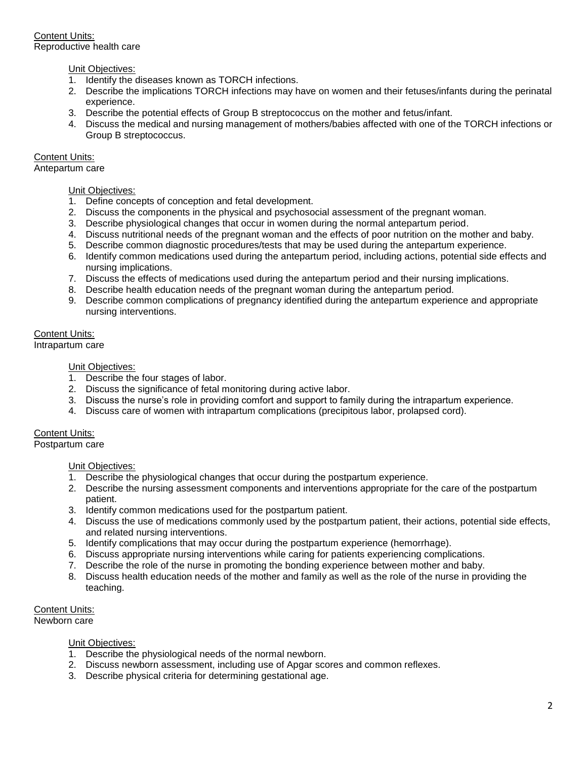Content Units: Reproductive health care

## Unit Objectives:

- 1. Identify the diseases known as TORCH infections.
- 2. Describe the implications TORCH infections may have on women and their fetuses/infants during the perinatal experience.
- 3. Describe the potential effects of Group B streptococcus on the mother and fetus/infant.
- 4. Discuss the medical and nursing management of mothers/babies affected with one of the TORCH infections or Group B streptococcus.

## Content Units:

Antepartum care

## Unit Objectives:

- 1. Define concepts of conception and fetal development.
- 2. Discuss the components in the physical and psychosocial assessment of the pregnant woman.
- 3. Describe physiological changes that occur in women during the normal antepartum period.
- 4. Discuss nutritional needs of the pregnant woman and the effects of poor nutrition on the mother and baby.
- 5. Describe common diagnostic procedures/tests that may be used during the antepartum experience.
- 6. Identify common medications used during the antepartum period, including actions, potential side effects and nursing implications.
- 7. Discuss the effects of medications used during the antepartum period and their nursing implications.
- 8. Describe health education needs of the pregnant woman during the antepartum period.
- 9. Describe common complications of pregnancy identified during the antepartum experience and appropriate nursing interventions.

# Content Units:

Intrapartum care

## Unit Objectives:

- 1. Describe the four stages of labor.
- 2. Discuss the significance of fetal monitoring during active labor.
- 3. Discuss the nurse's role in providing comfort and support to family during the intrapartum experience.
- 4. Discuss care of women with intrapartum complications (precipitous labor, prolapsed cord).

## Content Units:

Postpartum care

## Unit Objectives:

- 1. Describe the physiological changes that occur during the postpartum experience.
- 2. Describe the nursing assessment components and interventions appropriate for the care of the postpartum patient.
- 3. Identify common medications used for the postpartum patient.
- 4. Discuss the use of medications commonly used by the postpartum patient, their actions, potential side effects, and related nursing interventions.
- 5. Identify complications that may occur during the postpartum experience (hemorrhage).
- 6. Discuss appropriate nursing interventions while caring for patients experiencing complications.
- 7. Describe the role of the nurse in promoting the bonding experience between mother and baby.
- 8. Discuss health education needs of the mother and family as well as the role of the nurse in providing the teaching.

Content Units: Newborn care

#### Unit Objectives:

- 1. Describe the physiological needs of the normal newborn.
- 2. Discuss newborn assessment, including use of Apgar scores and common reflexes.
- 3. Describe physical criteria for determining gestational age.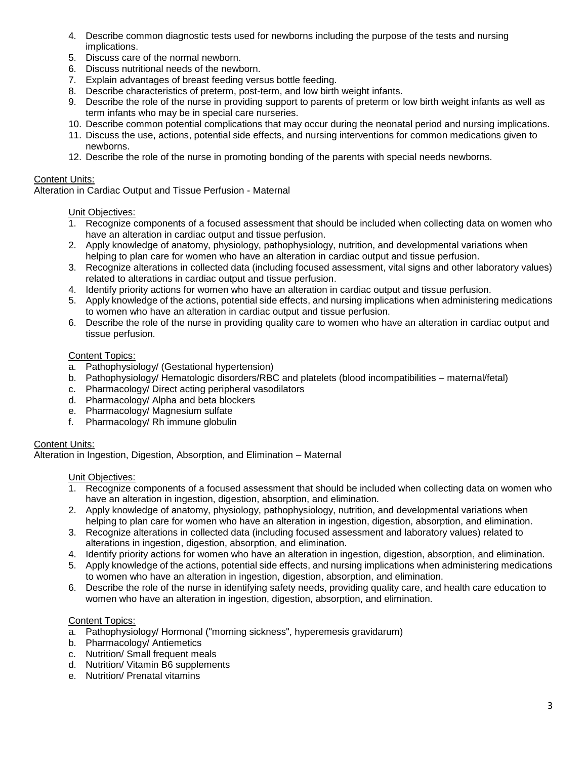- 4. Describe common diagnostic tests used for newborns including the purpose of the tests and nursing implications.
- 5. Discuss care of the normal newborn.
- 6. Discuss nutritional needs of the newborn.
- 7. Explain advantages of breast feeding versus bottle feeding.
- 8. Describe characteristics of preterm, post-term, and low birth weight infants.
- 9. Describe the role of the nurse in providing support to parents of preterm or low birth weight infants as well as term infants who may be in special care nurseries.
- 10. Describe common potential complications that may occur during the neonatal period and nursing implications.
- 11. Discuss the use, actions, potential side effects, and nursing interventions for common medications given to newborns.
- 12. Describe the role of the nurse in promoting bonding of the parents with special needs newborns.

## Content Units:

Alteration in Cardiac Output and Tissue Perfusion - Maternal

## Unit Objectives:

- 1. Recognize components of a focused assessment that should be included when collecting data on women who have an alteration in cardiac output and tissue perfusion.
- 2. Apply knowledge of anatomy, physiology, pathophysiology, nutrition, and developmental variations when helping to plan care for women who have an alteration in cardiac output and tissue perfusion.
- 3. Recognize alterations in collected data (including focused assessment, vital signs and other laboratory values) related to alterations in cardiac output and tissue perfusion.
- 4. Identify priority actions for women who have an alteration in cardiac output and tissue perfusion.
- 5. Apply knowledge of the actions, potential side effects, and nursing implications when administering medications to women who have an alteration in cardiac output and tissue perfusion.
- 6. Describe the role of the nurse in providing quality care to women who have an alteration in cardiac output and tissue perfusion.

## Content Topics:

- a. Pathophysiology/ (Gestational hypertension)
- b. Pathophysiology/ Hematologic disorders/RBC and platelets (blood incompatibilities maternal/fetal)
- c. Pharmacology/ Direct acting peripheral vasodilators
- d. Pharmacology/ Alpha and beta blockers
- e. Pharmacology/ Magnesium sulfate
- f. Pharmacology/ Rh immune globulin

## Content Units:

Alteration in Ingestion, Digestion, Absorption, and Elimination – Maternal

#### Unit Objectives:

- 1. Recognize components of a focused assessment that should be included when collecting data on women who have an alteration in ingestion, digestion, absorption, and elimination.
- 2. Apply knowledge of anatomy, physiology, pathophysiology, nutrition, and developmental variations when helping to plan care for women who have an alteration in ingestion, digestion, absorption, and elimination.
- 3. Recognize alterations in collected data (including focused assessment and laboratory values) related to alterations in ingestion, digestion, absorption, and elimination.
- 4. Identify priority actions for women who have an alteration in ingestion, digestion, absorption, and elimination.
- 5. Apply knowledge of the actions, potential side effects, and nursing implications when administering medications to women who have an alteration in ingestion, digestion, absorption, and elimination.
- 6. Describe the role of the nurse in identifying safety needs, providing quality care, and health care education to women who have an alteration in ingestion, digestion, absorption, and elimination.

## Content Topics:

- a. Pathophysiology/ Hormonal ("morning sickness", hyperemesis gravidarum)
- b. Pharmacology/ Antiemetics
- c. Nutrition/ Small frequent meals
- d. Nutrition/ Vitamin B6 supplements
- e. Nutrition/ Prenatal vitamins